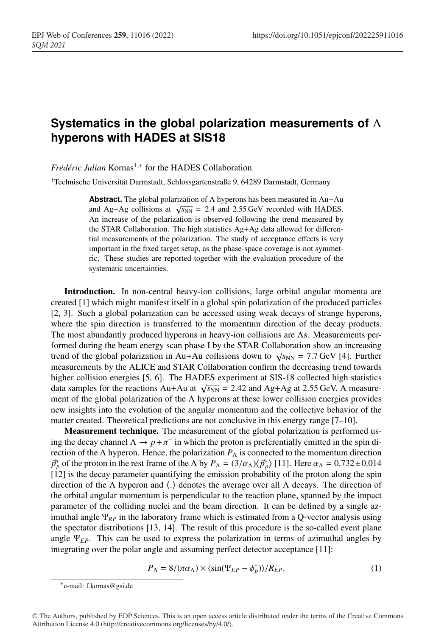## **Systematics in the global polarization measurements of** Λ **hyperons with HADES at SIS18**

*Frédéric Julian* Kornas<sup>1,∗</sup> for the HADES Collaboration

<sup>1</sup>Technische Universität Darmstadt, Schlossgartenstraße 9, 64289 Darmstadt, Germany

**Abstract.** The global polarization of Λ hyperons has been measured in Au+Au and Ag+Ag collisions at  $\sqrt{s_{NN}}$  = 2.4 and 2.55 GeV recorded with HADES. An increase of the polarization is observed following the trend measured by the STAR Collaboration. The high statistics Ag+Ag data allowed for differential measurements of the polarization. The study of acceptance effects is very important in the fixed target setup, as the phase-space coverage is not symmetric. These studies are reported together with the evaluation procedure of the systematic uncertainties.

Introduction. In non-central heavy-ion collisions, large orbital angular momenta are created [1] which might manifest itself in a global spin polarization of the produced particles [2, 3]. Such a global polarization can be accessed using weak decays of strange hyperons, where the spin direction is transferred to the momentum direction of the decay products. The most abundantly produced hyperons in heavy-ion collisions are Λs. Measurements performed during the beam energy scan phase I by the STAR Collaboration show an increasing trend of the global polarization in Au+Au collisions down to  $\sqrt{s_{NN}}$  = 7.7 GeV [4]. Further measurements by the ALICE and STAR Collaboration confirm the decreasing trend towards higher collision energies [5, 6]. The HADES experiment at SIS-18 collected high statistics data samples for the reactions Au+Au at  $\sqrt{s_{NN}}$  = 2.42 and Ag+Ag at 2.55 GeV. A measurement of the global polarization of the  $\Lambda$  hyperons at these lower collision energies provides new insights into the evolution of the angular momentum and the collective behavior of the matter created. Theoretical predictions are not conclusive in this energy range [7–10].

Measurement technique. The measurement of the global polarization is performed using the decay channel  $\Lambda \to p + \pi^-$  in which the proton is preferentially emitted in the spin direction of the  $\Lambda$  hyperon. Hence, the polarization  $P_{\Lambda}$  is connected to the momentum direction  $\vec{p}_p^*$  of the proton in the rest frame of the Λ by  $P_\Lambda = (3/\alpha_\Lambda) \langle \vec{p}_p^* \rangle$  [11]. Here  $\alpha_\Lambda = 0.732 \pm 0.014$ [12] is the decay parameter quantifying the emission probability of the proton along the spin direction of the  $\Lambda$  hyperon and  $\langle . \rangle$  denotes the average over all  $\Lambda$  decays. The direction of the orbital angular momentum is perpendicular to the reaction plane, spanned by the impact parameter of the colliding nuclei and the beam direction. It can be defined by a single azimuthal angle Ψ*RP* in the laboratory frame which is estimated from a Q-vector analysis using the spectator distributions [13, 14]. The result of this procedure is the so-called event plane angle  $\Psi_{EP}$ . This can be used to express the polarization in terms of azimuthal angles by integrating over the polar angle and assuming perfect detector acceptance [11]:

$$
P_{\Lambda} = 8/(\pi \alpha_{\Lambda}) \times \langle \sin(\Psi_{EP} - \phi_p^*) \rangle / R_{EP}.
$$
 (1)

<sup>∗</sup>e-mail: f.kornas@gsi.de

<sup>©</sup> The Authors, published by EDP Sciences. This is an open access article distributed under the terms of the Creative Commons Attribution License 4.0 (http://creativecommons.org/licenses/by/4.0/).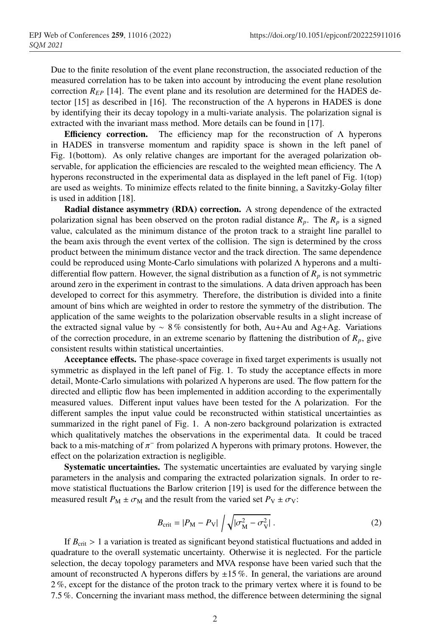Due to the finite resolution of the event plane reconstruction, the associated reduction of the measured correlation has to be taken into account by introducing the event plane resolution correction *REP* [14]. The event plane and its resolution are determined for the HADES detector [15] as described in [16]. The reconstruction of the  $\Lambda$  hyperons in HADES is done by identifying their its decay topology in a multi-variate analysis. The polarization signal is extracted with the invariant mass method. More details can be found in [17].

**Efficiency correction.** The efficiency map for the reconstruction of  $\Lambda$  hyperons in HADES in transverse momentum and rapidity space is shown in the left panel of Fig. 1(bottom). As only relative changes are important for the averaged polarization observable, for application the efficiencies are rescaled to the weighted mean efficiency. The  $\Lambda$ hyperons reconstructed in the experimental data as displayed in the left panel of Fig. 1(top) are used as weights. To minimize effects related to the finite binning, a Savitzky-Golay filter is used in addition [18].

Radial distance asymmetry (RDA) correction. A strong dependence of the extracted polarization signal has been observed on the proton radial distance  $R_p$ . The  $R_p$  is a signed value, calculated as the minimum distance of the proton track to a straight line parallel to the beam axis through the event vertex of the collision. The sign is determined by the cross product between the minimum distance vector and the track direction. The same dependence could be reproduced using Monte-Carlo simulations with polarized Λ hyperons and a multidifferential flow pattern. However, the signal distribution as a function of  $R_p$  is not symmetric around zero in the experiment in contrast to the simulations. A data driven approach has been developed to correct for this asymmetry. Therefore, the distribution is divided into a finite amount of bins which are weighted in order to restore the symmetry of the distribution. The application of the same weights to the polarization observable results in a slight increase of the extracted signal value by ∼ 8 % consistently for both, Au+Au and Ag+Ag. Variations of the correction procedure, in an extreme scenario by flattening the distribution of  $R_p$ , give consistent results within statistical uncertainties.

Acceptance effects. The phase-space coverage in fixed target experiments is usually not symmetric as displayed in the left panel of Fig. 1. To study the acceptance effects in more detail, Monte-Carlo simulations with polarized Λ hyperons are used. The flow pattern for the directed and elliptic flow has been implemented in addition according to the experimentally measured values. Different input values have been tested for the  $\Lambda$  polarization. For the different samples the input value could be reconstructed within statistical uncertainties as summarized in the right panel of Fig. 1. A non-zero background polarization is extracted which qualitatively matches the observations in the experimental data. It could be traced back to a mis-matching of  $\pi^-$  from polarized  $\Lambda$  hyperons with primary protons. However, the effect on the polarization extraction is negligible.

Systematic uncertainties. The systematic uncertainties are evaluated by varying single parameters in the analysis and comparing the extracted polarization signals. In order to remove statistical fluctuations the Barlow criterion [19] is used for the difference between the measured result  $P_M \pm \sigma_M$  and the result from the varied set  $P_V \pm \sigma_V$ :

$$
B_{\rm crit} = |P_{\rm M} - P_{\rm V}| \left| \sqrt{|\sigma_{\rm M}^2 - \sigma_{\rm V}^2|} \right|.
$$
 (2)

If  $B_{\text{crit}} > 1$  a variation is treated as significant beyond statistical fluctuations and added in quadrature to the overall systematic uncertainty. Otherwise it is neglected. For the particle selection, the decay topology parameters and MVA response have been varied such that the amount of reconstructed  $\Lambda$  hyperons differs by  $\pm 15\%$ . In general, the variations are around 2 %, except for the distance of the proton track to the primary vertex where it is found to be 7.5 %. Concerning the invariant mass method, the difference between determining the signal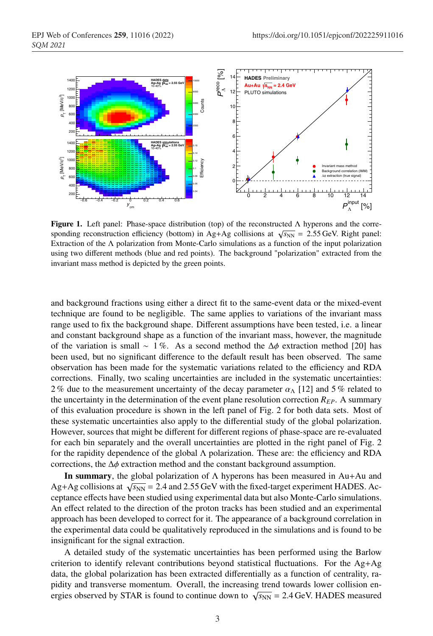

**Figure 1.** Left panel: Phase-space distribution (top) of the reconstructed  $\Lambda$  hyperons and the corresponding reconstruction efficiency (bottom) in Ag+Ag collisions at  $\sqrt{s_{NN}}$  = 2.55 GeV. Right panel: Extraction of the  $\Lambda$  polarization from Monte-Carlo simulations as a function of the input polarization using two different methods (blue and red points). The background "polarization" extracted from the invariant mass method is depicted by the green points.

and background fractions using either a direct fit to the same-event data or the mixed-event technique are found to be negligible. The same applies to variations of the invariant mass range used to fix the background shape. Different assumptions have been tested, i.e. a linear and constant background shape as a function of the invariant mass, however, the magnitude of the variation is small ~ 1%. As a second method the  $\Delta \phi$  extraction method [20] has been used, but no significant difference to the default result has been observed. The same observation has been made for the systematic variations related to the efficiency and RDA corrections. Finally, two scaling uncertainties are included in the systematic uncertainties: 2% due to the measurement uncertainty of the decay parameter  $\alpha_{\Lambda}$  [12] and 5% related to the uncertainty in the determination of the event plane resolution correction  $R_{EP}$ . A summary of this evaluation procedure is shown in the left panel of Fig. 2 for both data sets. Most of these systematic uncertainties also apply to the differential study of the global polarization. However, sources that might be different for different regions of phase-space are re-evaluated for each bin separately and the overall uncertainties are plotted in the right panel of Fig. 2 for the rapidity dependence of the global  $\Lambda$  polarization. These are: the efficiency and RDA corrections, the ∆φ extraction method and the constant background assumption.

In summary, the global polarization of  $\Lambda$  hyperons has been measured in Au+Au and Ag+Ag collisions at  $\sqrt{s_{NN}}$  = 2.4 and 2.55 GeV with the fixed-target experiment HADES. Acceptance effects have been studied using experimental data but also Monte-Carlo simulations. An effect related to the direction of the proton tracks has been studied and an experimental approach has been developed to correct for it. The appearance of a background correlation in the experimental data could be qualitatively reproduced in the simulations and is found to be insignificant for the signal extraction.

A detailed study of the systematic uncertainties has been performed using the Barlow criterion to identify relevant contributions beyond statistical fluctuations. For the Ag+Ag data, the global polarization has been extracted differentially as a function of centrality, rapidity and transverse momentum. Overall, the increasing trend towards lower collision energies observed by STAR is found to continue down to  $\sqrt{s_{NN}}$  = 2.4 GeV. HADES measured